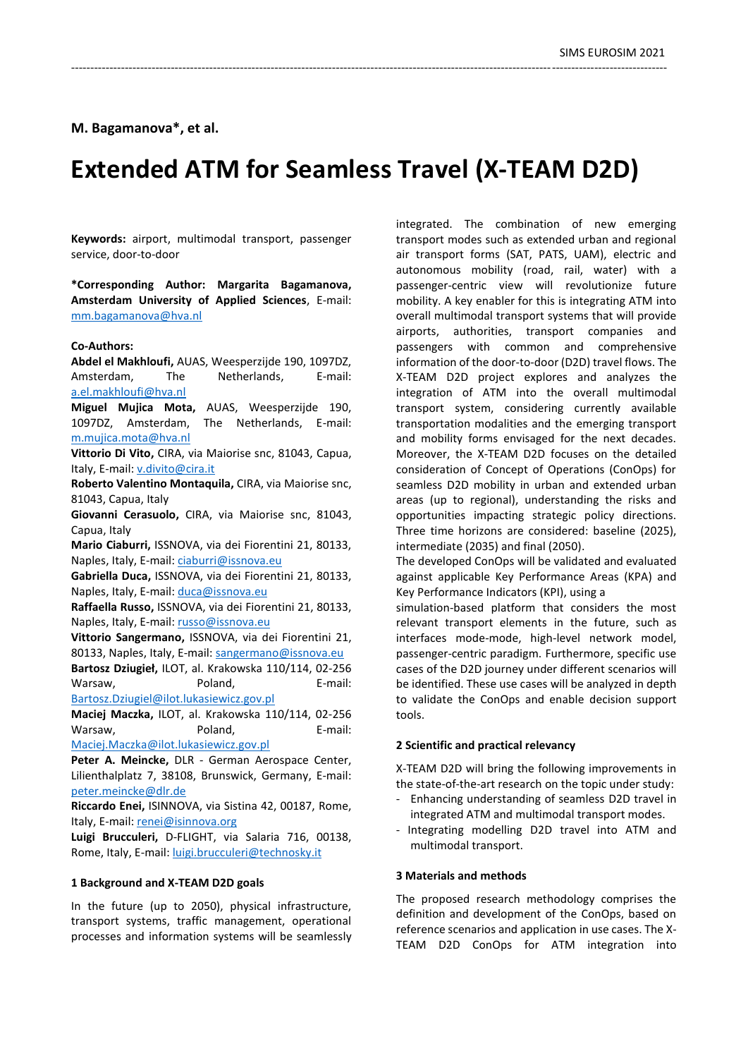# **M. Bagamanova\*, et al.**

# **Extended ATM for Seamless Travel (X-TEAM D2D)**

-----------------------------------------------------------------------------------------------------------------------------------------------------------

**Keywords:** airport, multimodal transport, passenger service, door-to-door

**\*Corresponding Author: Margarita Bagamanova, Amsterdam University of Applied Sciences**, E-mail: [mm.bagamanova@hva.nl](mailto:mm.bagamanova@hva.nl)

## **Co-Authors:**

**Abdel el Makhloufi,** AUAS, Weesperzijde 190, 1097DZ, Amsterdam, The Netherlands, E-mail: [a.el.makhloufi@hva.nl](mailto:a.el.makhloufi@hva.nl) **Miguel Mujica Mota,** AUAS, Weesperzijde 190,

1097DZ, Amsterdam, The Netherlands, E-mail: [m.mujica.mota@hva.nl](mailto:m.mujica.mota@hva.nl)

**Vittorio Di Vito,** CIRA, via Maiorise snc, 81043, Capua, Italy, E-mail: [v.divito@cira.it](mailto:v.divito@cira.it)

**Roberto Valentino Montaquila,** CIRA, via Maiorise snc, 81043, Capua, Italy

**Giovanni Cerasuolo,** CIRA, via Maiorise snc, 81043, Capua, Italy

**Mario Ciaburri,** ISSNOVA, via dei Fiorentini 21, 80133, Naples, Italy, E-mail[: ciaburri@issnova.eu](mailto:ciaburri@issnova.eu)

**Gabriella Duca,** ISSNOVA, via dei Fiorentini 21, 80133, Naples, Italy, E-mail: [duca@issnova.eu](mailto:duca@issnova.eu)

**Raffaella Russo,** ISSNOVA, via dei Fiorentini 21, 80133, Naples, Italy, E-mail: [russo@issnova.eu](mailto:russo@issnova.eu)

**Vittorio Sangermano,** ISSNOVA, via dei Fiorentini 21, 80133, Naples, Italy, E-mail: [sangermano@issnova.eu](mailto:sangermano@issnova.eu)

**Bartosz Dziugieł,** ILOT, al. Krakowska 110/114, 02-256 Warsaw. **Poland**, **E-mail:** [Bartosz.Dziugiel@ilot.lukasiewicz.gov.pl](mailto:Bartosz.Dziugiel@ilot.lukasiewicz.gov.pl)

**Maciej Maczka,** ILOT, al. Krakowska 110/114, 02-256 Warsaw, **Poland**, **E-mail:** [Maciej.Maczka@ilot.lukasiewicz.gov.pl](mailto:Maciej.Maczka@ilot.lukasiewicz.gov.pl)

**Peter A. Meincke,** DLR - German Aerospace Center, Lilienthalplatz 7, 38108, Brunswick, Germany, E-mail: [peter.meincke@dlr.de](mailto:peter.meincke@dlr.de)

**Riccardo Enei,** ISINNOVA, via Sistina 42, 00187, Rome, Italy, E-mail: [renei@isinnova.org](mailto:renei@isinnova.org)

**Luigi Brucculeri,** D-FLIGHT, via Salaria 716, 00138, Rome, Italy, E-mail[: luigi.brucculeri@technosky.it](mailto:luigi.brucculeri@technosky.it)

#### **1 Background and X-TEAM D2D goals**

In the future (up to 2050), physical infrastructure, transport systems, traffic management, operational processes and information systems will be seamlessly integrated. The combination of new emerging transport modes such as extended urban and regional air transport forms (SAT, PATS, UAM), electric and autonomous mobility (road, rail, water) with a passenger-centric view will revolutionize future mobility. A key enabler for this is integrating ATM into overall multimodal transport systems that will provide airports, authorities, transport companies and passengers with common and comprehensive information of the door-to-door (D2D) travel flows. The X-TEAM D2D project explores and analyzes the integration of ATM into the overall multimodal transport system, considering currently available transportation modalities and the emerging transport and mobility forms envisaged for the next decades. Moreover, the X-TEAM D2D focuses on the detailed consideration of Concept of Operations (ConOps) for seamless D2D mobility in urban and extended urban areas (up to regional), understanding the risks and opportunities impacting strategic policy directions. Three time horizons are considered: baseline (2025), intermediate (2035) and final (2050).

The developed ConOps will be validated and evaluated against applicable Key Performance Areas (KPA) and Key Performance Indicators (KPI), using a

simulation-based platform that considers the most relevant transport elements in the future, such as interfaces mode-mode, high-level network model, passenger-centric paradigm. Furthermore, specific use cases of the D2D journey under different scenarios will be identified. These use cases will be analyzed in depth to validate the ConOps and enable decision support tools.

#### **2 Scientific and practical relevancy**

X-TEAM D2D will bring the following improvements in the state-of-the-art research on the topic under study:

- Enhancing understanding of seamless D2D travel in integrated ATM and multimodal transport modes.
- Integrating modelling D2D travel into ATM and multimodal transport.

# **3 Materials and methods**

The proposed research methodology comprises the definition and development of the ConOps, based on reference scenarios and application in use cases. The X-TEAM D2D ConOps for ATM integration into